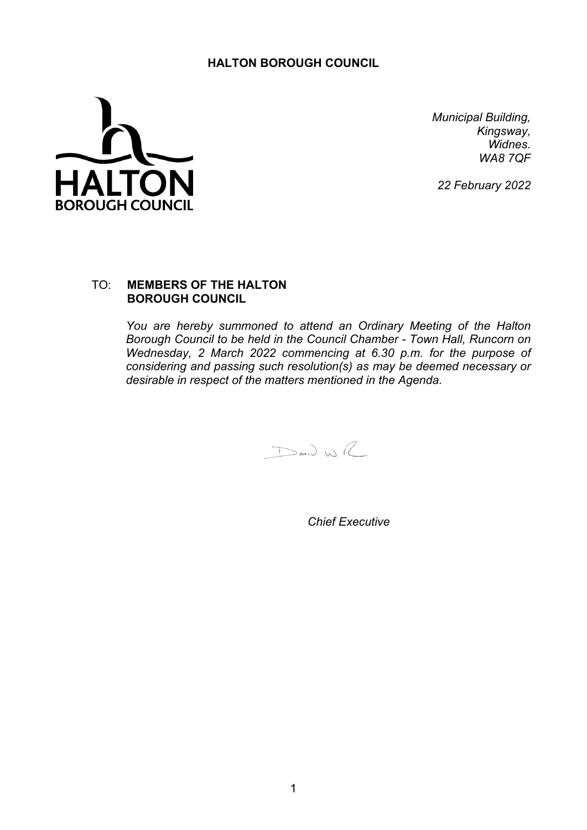## **HALTON BOROUGH COUNCIL**



*Municipal Building, Kingsway, Widnes. WA8 7QF*

*22 February 2022*

## TO: **MEMBERS OF THE HALTON BOROUGH COUNCIL**

*You are hereby summoned to attend an Ordinary Meeting of the Halton Borough Council to be held in the Council Chamber - Town Hall, Runcorn on Wednesday, 2 March 2022 commencing at 6.30 p.m. for the purpose of considering and passing such resolution(s) as may be deemed necessary or desirable in respect of the matters mentioned in the Agenda.*

 $D$ an) WR

*Chief Executive*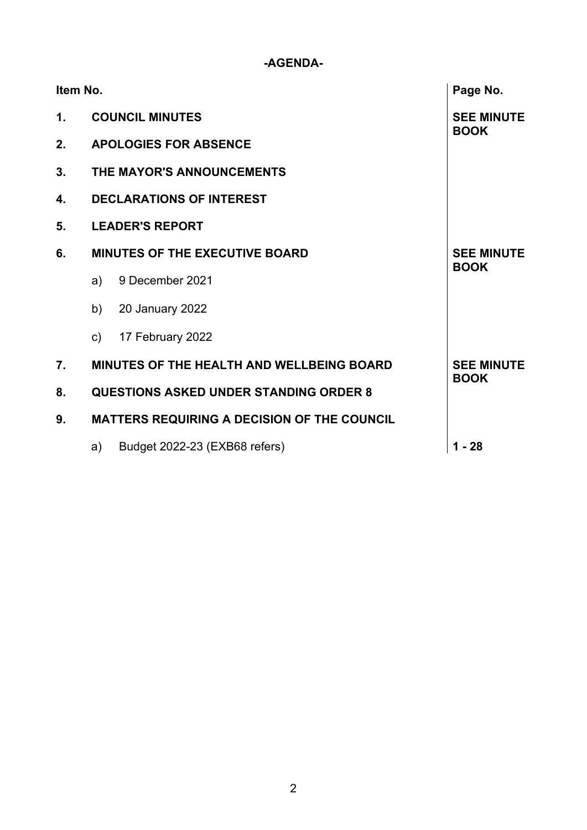## **-AGENDA-**

|               | Item No.<br>Page No.                                                  |                                  |          |  |  |
|---------------|-----------------------------------------------------------------------|----------------------------------|----------|--|--|
| $\mathbf 1$ . | <b>COUNCIL MINUTES</b>                                                | <b>SEE MINUTE</b>                |          |  |  |
| 2.            | <b>APOLOGIES FOR ABSENCE</b>                                          | <b>BOOK</b>                      |          |  |  |
| 3.            | THE MAYOR'S ANNOUNCEMENTS                                             |                                  |          |  |  |
| 4.            | <b>DECLARATIONS OF INTEREST</b>                                       |                                  |          |  |  |
| 5.            | <b>LEADER'S REPORT</b>                                                |                                  |          |  |  |
| 6.            | <b>MINUTES OF THE EXECUTIVE BOARD</b>                                 | <b>SEE MINUTE</b><br><b>BOOK</b> |          |  |  |
|               | a)                                                                    | 9 December 2021                  |          |  |  |
|               | b)                                                                    | 20 January 2022                  |          |  |  |
|               | $\mathsf{C}$                                                          | 17 February 2022                 |          |  |  |
| 7.            | <b>MINUTES OF THE HEALTH AND WELLBEING BOARD</b><br><b>SEE MINUTE</b> |                                  |          |  |  |
| 8.            | <b>BOOK</b><br><b>QUESTIONS ASKED UNDER STANDING ORDER 8</b>          |                                  |          |  |  |
| 9.            | <b>MATTERS REQUIRING A DECISION OF THE COUNCIL</b>                    |                                  |          |  |  |
|               | a)                                                                    | Budget 2022-23 (EXB68 refers)    | $1 - 28$ |  |  |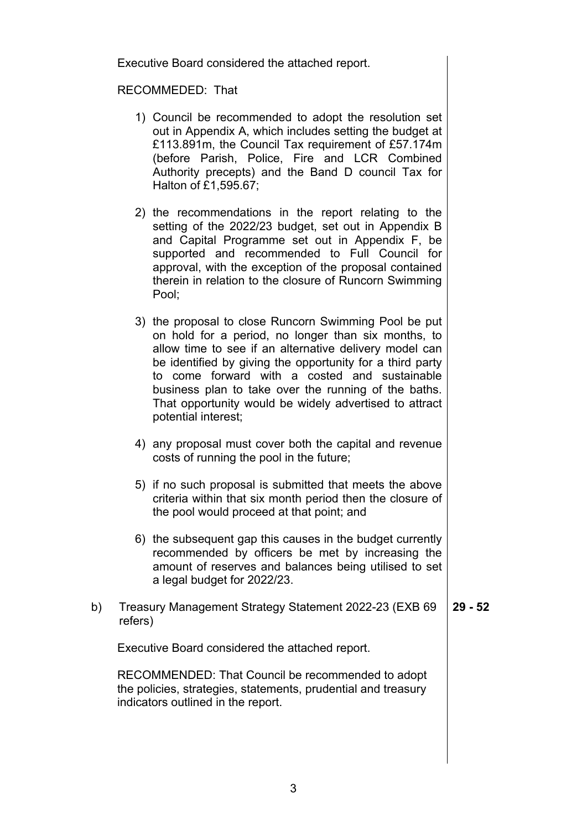Executive Board considered the attached report.

## RECOMMEDED: That

- 1) Council be recommended to adopt the resolution set out in Appendix A, which includes setting the budget at £113.891m, the Council Tax requirement of £57.174m (before Parish, Police, Fire and LCR Combined Authority precepts) and the Band D council Tax for Halton of £1,595.67;
- 2) the recommendations in the report relating to the setting of the 2022/23 budget, set out in Appendix B and Capital Programme set out in Appendix F, be supported and recommended to Full Council for approval, with the exception of the proposal contained therein in relation to the closure of Runcorn Swimming Pool;
- 3) the proposal to close Runcorn Swimming Pool be put on hold for a period, no longer than six months, to allow time to see if an alternative delivery model can be identified by giving the opportunity for a third party to come forward with a costed and sustainable business plan to take over the running of the baths. That opportunity would be widely advertised to attract potential interest;
- 4) any proposal must cover both the capital and revenue costs of running the pool in the future;
- 5) if no such proposal is submitted that meets the above criteria within that six month period then the closure of the pool would proceed at that point; and
- 6) the subsequent gap this causes in the budget currently recommended by officers be met by increasing the amount of reserves and balances being utilised to set a legal budget for 2022/23.
- b) Treasury Management Strategy Statement 2022-23 (EXB 69 refers) **29 - 52**

Executive Board considered the attached report.

RECOMMENDED: That Council be recommended to adopt the policies, strategies, statements, prudential and treasury indicators outlined in the report.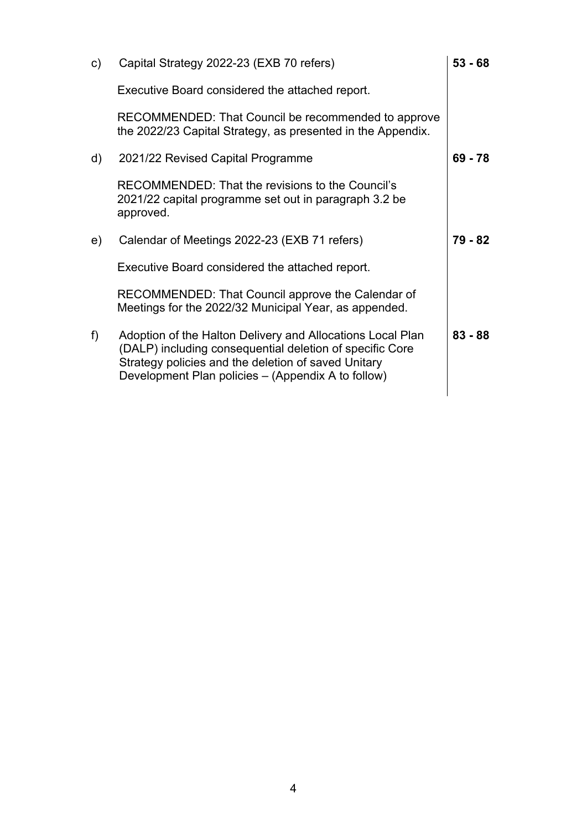| $\mathsf{C}$ | Capital Strategy 2022-23 (EXB 70 refers)                                                                                                                                                                                            |           |  |
|--------------|-------------------------------------------------------------------------------------------------------------------------------------------------------------------------------------------------------------------------------------|-----------|--|
|              | Executive Board considered the attached report.                                                                                                                                                                                     |           |  |
|              | RECOMMENDED: That Council be recommended to approve<br>the 2022/23 Capital Strategy, as presented in the Appendix.                                                                                                                  |           |  |
| d)           | 2021/22 Revised Capital Programme                                                                                                                                                                                                   | $69 - 78$ |  |
|              | RECOMMENDED: That the revisions to the Council's<br>2021/22 capital programme set out in paragraph 3.2 be<br>approved.                                                                                                              |           |  |
| e)           | Calendar of Meetings 2022-23 (EXB 71 refers)                                                                                                                                                                                        | 79 - 82   |  |
|              | Executive Board considered the attached report.                                                                                                                                                                                     |           |  |
|              | RECOMMENDED: That Council approve the Calendar of<br>Meetings for the 2022/32 Municipal Year, as appended.                                                                                                                          |           |  |
| f            | Adoption of the Halton Delivery and Allocations Local Plan<br>(DALP) including consequential deletion of specific Core<br>Strategy policies and the deletion of saved Unitary<br>Development Plan policies – (Appendix A to follow) | $83 - 88$ |  |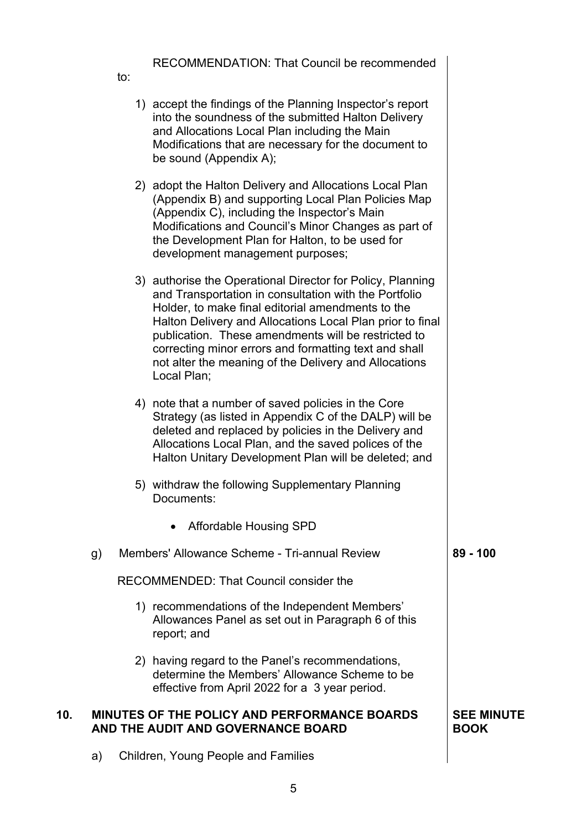RECOMMENDATION: That Council be recommended

to:

|     |    | 1) accept the findings of the Planning Inspector's report<br>into the soundness of the submitted Halton Delivery<br>and Allocations Local Plan including the Main<br>Modifications that are necessary for the document to<br>be sound (Appendix A);                                                                                                                                                                           |                                  |
|-----|----|-------------------------------------------------------------------------------------------------------------------------------------------------------------------------------------------------------------------------------------------------------------------------------------------------------------------------------------------------------------------------------------------------------------------------------|----------------------------------|
|     |    | 2) adopt the Halton Delivery and Allocations Local Plan<br>(Appendix B) and supporting Local Plan Policies Map<br>(Appendix C), including the Inspector's Main<br>Modifications and Council's Minor Changes as part of<br>the Development Plan for Halton, to be used for<br>development management purposes;                                                                                                                 |                                  |
|     |    | 3) authorise the Operational Director for Policy, Planning<br>and Transportation in consultation with the Portfolio<br>Holder, to make final editorial amendments to the<br>Halton Delivery and Allocations Local Plan prior to final<br>publication. These amendments will be restricted to<br>correcting minor errors and formatting text and shall<br>not alter the meaning of the Delivery and Allocations<br>Local Plan; |                                  |
|     |    | 4) note that a number of saved policies in the Core<br>Strategy (as listed in Appendix C of the DALP) will be<br>deleted and replaced by policies in the Delivery and<br>Allocations Local Plan, and the saved polices of the<br>Halton Unitary Development Plan will be deleted; and                                                                                                                                         |                                  |
|     |    | 5) withdraw the following Supplementary Planning<br>Documents:                                                                                                                                                                                                                                                                                                                                                                |                                  |
|     |    | Affordable Housing SPD                                                                                                                                                                                                                                                                                                                                                                                                        |                                  |
|     | g) | Members' Allowance Scheme - Tri-annual Review                                                                                                                                                                                                                                                                                                                                                                                 | $89 - 100$                       |
|     |    | <b>RECOMMENDED: That Council consider the</b>                                                                                                                                                                                                                                                                                                                                                                                 |                                  |
|     |    | 1) recommendations of the Independent Members'<br>Allowances Panel as set out in Paragraph 6 of this<br>report; and                                                                                                                                                                                                                                                                                                           |                                  |
|     |    | 2) having regard to the Panel's recommendations,<br>determine the Members' Allowance Scheme to be<br>effective from April 2022 for a 3 year period.                                                                                                                                                                                                                                                                           |                                  |
| 10. |    | MINUTES OF THE POLICY AND PERFORMANCE BOARDS<br>AND THE AUDIT AND GOVERNANCE BOARD                                                                                                                                                                                                                                                                                                                                            | <b>SEE MINUTE</b><br><b>BOOK</b> |
|     | a) | Children, Young People and Families                                                                                                                                                                                                                                                                                                                                                                                           |                                  |

a) Children, Young People and Families